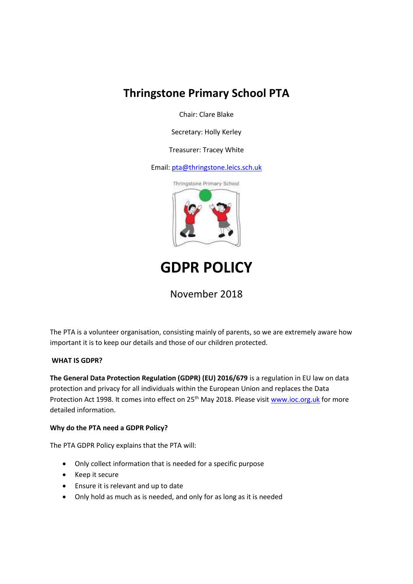## **Thringstone Primary School PTA**

Chair: Clare Blake

Secretary: Holly Kerley

Treasurer: Tracey White

Email: [pta@thringstone.leics.sch.uk](mailto:pta@thringstone.leics.sch.uk)



# **GDPR POLICY**

### November 2018

The PTA is a volunteer organisation, consisting mainly of parents, so we are extremely aware how important it is to keep our details and those of our children protected.

#### **WHAT IS GDPR?**

**The General Data Protection Regulation (GDPR) (EU) 2016/679** is a regulation in EU law on data protection and privacy for all individuals within the European Union and replaces the Data Protection Act 1998. It comes into effect on 25<sup>th</sup> May 2018. Please visi[t www.ioc.org.uk](http://www.ioc.org.uk/) for more detailed information.

#### **Why do the PTA need a GDPR Policy?**

The PTA GDPR Policy explains that the PTA will:

- Only collect information that is needed for a specific purpose
- Keep it secure
- Ensure it is relevant and up to date
- Only hold as much as is needed, and only for as long as it is needed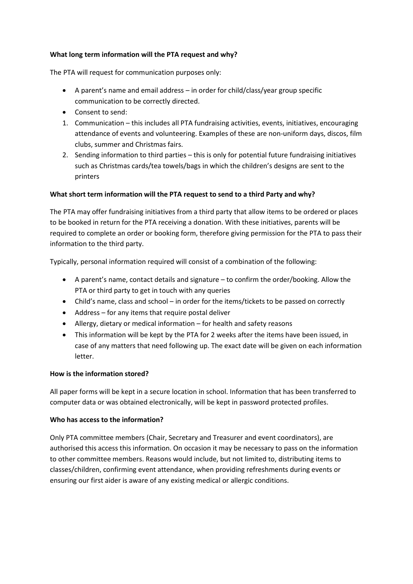#### **What long term information will the PTA request and why?**

The PTA will request for communication purposes only:

- A parent's name and email address in order for child/class/year group specific communication to be correctly directed.
- Consent to send:
- 1. Communication this includes all PTA fundraising activities, events, initiatives, encouraging attendance of events and volunteering. Examples of these are non-uniform days, discos, film clubs, summer and Christmas fairs.
- 2. Sending information to third parties this is only for potential future fundraising initiatives such as Christmas cards/tea towels/bags in which the children's designs are sent to the printers

#### **What short term information will the PTA request to send to a third Party and why?**

The PTA may offer fundraising initiatives from a third party that allow items to be ordered or places to be booked in return for the PTA receiving a donation. With these initiatives, parents will be required to complete an order or booking form, therefore giving permission for the PTA to pass their information to the third party.

Typically, personal information required will consist of a combination of the following:

- A parent's name, contact details and signature to confirm the order/booking. Allow the PTA or third party to get in touch with any queries
- Child's name, class and school in order for the items/tickets to be passed on correctly
- Address for any items that require postal deliver
- Allergy, dietary or medical information for health and safety reasons
- This information will be kept by the PTA for 2 weeks after the items have been issued, in case of any matters that need following up. The exact date will be given on each information letter.

#### **How is the information stored?**

All paper forms will be kept in a secure location in school. Information that has been transferred to computer data or was obtained electronically, will be kept in password protected profiles.

#### **Who has access to the information?**

Only PTA committee members (Chair, Secretary and Treasurer and event coordinators), are authorised this access this information. On occasion it may be necessary to pass on the information to other committee members. Reasons would include, but not limited to, distributing items to classes/children, confirming event attendance, when providing refreshments during events or ensuring our first aider is aware of any existing medical or allergic conditions.